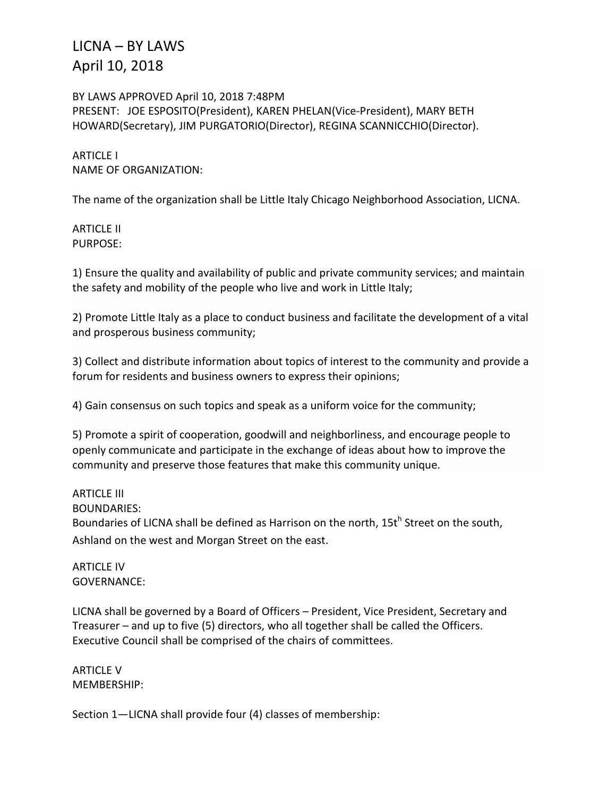BY LAWS APPROVED April 10, 2018 7:48PM PRESENT: JOE ESPOSITO(President), KAREN PHELAN(Vice-President), MARY BETH HOWARD(Secretary), JIM PURGATORIO(Director), REGINA SCANNICCHIO(Director).

ARTICLE I NAME OF ORGANIZATION:

The name of the organization shall be Little Italy Chicago Neighborhood Association, LICNA.

ARTICLE II PURPOSE:

1) Ensure the quality and availability of public and private community services; and maintain the safety and mobility of the people who live and work in Little Italy;

2) Promote Little Italy as a place to conduct business and facilitate the development of a vital and prosperous business community;

3) Collect and distribute information about topics of interest to the community and provide a forum for residents and business owners to express their opinions;

4) Gain consensus on such topics and speak as a uniform voice for the community;

5) Promote a spirit of cooperation, goodwill and neighborliness, and encourage people to openly communicate and participate in the exchange of ideas about how to improve the community and preserve those features that make this community unique.

#### ARTICLE III

BOUNDARIES:

Boundaries of LICNA shall be defined as Harrison on the north, 15t<sup>h</sup> Street on the south. Ashland on the west and Morgan Street on the east.

ARTICLE IV GOVERNANCE:

LICNA shall be governed by a Board of Officers – President, Vice President, Secretary and Treasurer – and up to five (5) directors, who all together shall be called the Officers. Executive Council shall be comprised of the chairs of committees.

ARTICLE V MEMBERSHIP:

Section 1—LICNA shall provide four (4) classes of membership: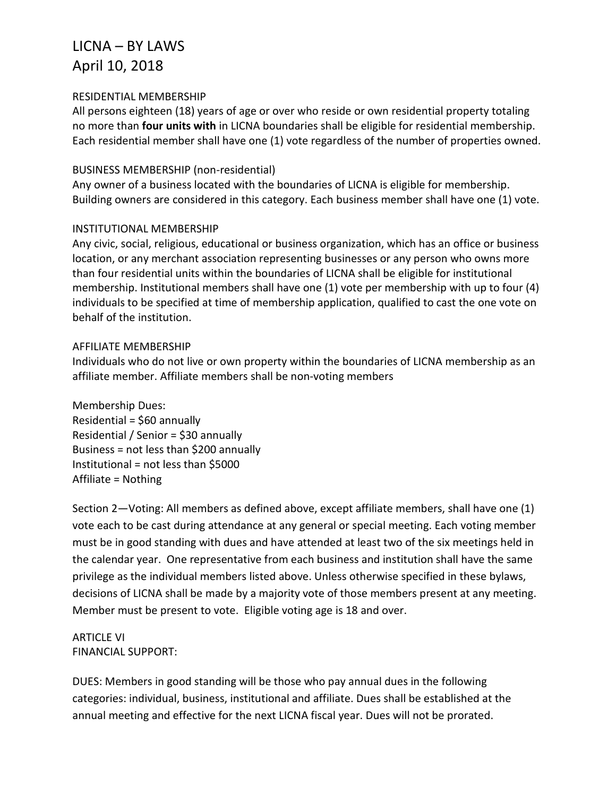### RESIDENTIAL MEMBERSHIP

All persons eighteen (18) years of age or over who reside or own residential property totaling no more than **four units with** in LICNA boundaries shall be eligible for residential membership. Each residential member shall have one (1) vote regardless of the number of properties owned.

#### BUSINESS MEMBERSHIP (non-residential)

Any owner of a business located with the boundaries of LICNA is eligible for membership. Building owners are considered in this category. Each business member shall have one (1) vote.

#### INSTITUTIONAL MEMBERSHIP

Any civic, social, religious, educational or business organization, which has an office or business location, or any merchant association representing businesses or any person who owns more than four residential units within the boundaries of LICNA shall be eligible for institutional membership. Institutional members shall have one (1) vote per membership with up to four (4) individuals to be specified at time of membership application, qualified to cast the one vote on behalf of the institution.

#### AFFILIATE MEMBERSHIP

Individuals who do not live or own property within the boundaries of LICNA membership as an affiliate member. Affiliate members shall be non-voting members

Membership Dues: Residential = \$60 annually Residential / Senior = \$30 annually Business = not less than \$200 annually Institutional = not less than \$5000 Affiliate = Nothing

Section 2—Voting: All members as defined above, except affiliate members, shall have one (1) vote each to be cast during attendance at any general or special meeting. Each voting member must be in good standing with dues and have attended at least two of the six meetings held in the calendar year. One representative from each business and institution shall have the same privilege as the individual members listed above. Unless otherwise specified in these bylaws, decisions of LICNA shall be made by a majority vote of those members present at any meeting. Member must be present to vote. Eligible voting age is 18 and over.

ARTICLE VI FINANCIAL SUPPORT:

DUES: Members in good standing will be those who pay annual dues in the following categories: individual, business, institutional and affiliate. Dues shall be established at the annual meeting and effective for the next LICNA fiscal year. Dues will not be prorated.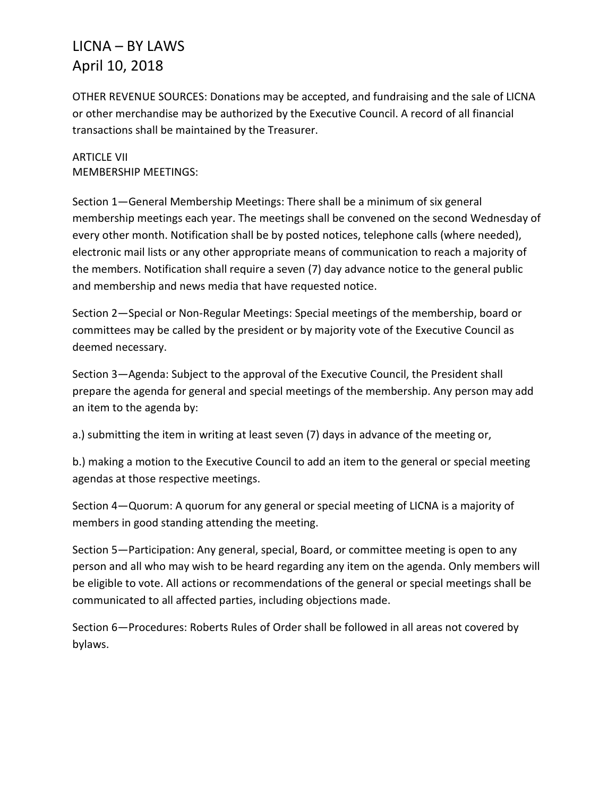OTHER REVENUE SOURCES: Donations may be accepted, and fundraising and the sale of LICNA or other merchandise may be authorized by the Executive Council. A record of all financial transactions shall be maintained by the Treasurer.

ARTICLE VII MEMBERSHIP MEETINGS:

Section 1—General Membership Meetings: There shall be a minimum of six general membership meetings each year. The meetings shall be convened on the second Wednesday of every other month. Notification shall be by posted notices, telephone calls (where needed), electronic mail lists or any other appropriate means of communication to reach a majority of the members. Notification shall require a seven (7) day advance notice to the general public and membership and news media that have requested notice.

Section 2—Special or Non-Regular Meetings: Special meetings of the membership, board or committees may be called by the president or by majority vote of the Executive Council as deemed necessary.

Section 3—Agenda: Subject to the approval of the Executive Council, the President shall prepare the agenda for general and special meetings of the membership. Any person may add an item to the agenda by:

a.) submitting the item in writing at least seven (7) days in advance of the meeting or,

b.) making a motion to the Executive Council to add an item to the general or special meeting agendas at those respective meetings.

Section 4—Quorum: A quorum for any general or special meeting of LICNA is a majority of members in good standing attending the meeting.

Section 5—Participation: Any general, special, Board, or committee meeting is open to any person and all who may wish to be heard regarding any item on the agenda. Only members will be eligible to vote. All actions or recommendations of the general or special meetings shall be communicated to all affected parties, including objections made.

Section 6—Procedures: Roberts Rules of Order shall be followed in all areas not covered by bylaws.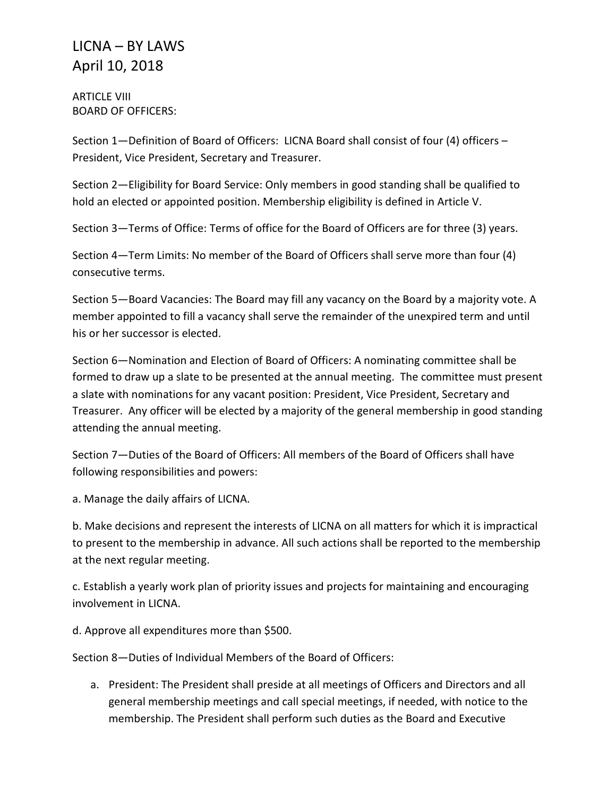ARTICLE VIII BOARD OF OFFICERS:

Section 1—Definition of Board of Officers: LICNA Board shall consist of four (4) officers – President, Vice President, Secretary and Treasurer.

Section 2—Eligibility for Board Service: Only members in good standing shall be qualified to hold an elected or appointed position. Membership eligibility is defined in Article V.

Section 3—Terms of Office: Terms of office for the Board of Officers are for three (3) years.

Section 4—Term Limits: No member of the Board of Officers shall serve more than four (4) consecutive terms.

Section 5—Board Vacancies: The Board may fill any vacancy on the Board by a majority vote. A member appointed to fill a vacancy shall serve the remainder of the unexpired term and until his or her successor is elected.

Section 6—Nomination and Election of Board of Officers: A nominating committee shall be formed to draw up a slate to be presented at the annual meeting. The committee must present a slate with nominations for any vacant position: President, Vice President, Secretary and Treasurer. Any officer will be elected by a majority of the general membership in good standing attending the annual meeting.

Section 7—Duties of the Board of Officers: All members of the Board of Officers shall have following responsibilities and powers:

a. Manage the daily affairs of LICNA.

b. Make decisions and represent the interests of LICNA on all matters for which it is impractical to present to the membership in advance. All such actions shall be reported to the membership at the next regular meeting.

c. Establish a yearly work plan of priority issues and projects for maintaining and encouraging involvement in LICNA.

d. Approve all expenditures more than \$500.

Section 8—Duties of Individual Members of the Board of Officers:

a. President: The President shall preside at all meetings of Officers and Directors and all general membership meetings and call special meetings, if needed, with notice to the membership. The President shall perform such duties as the Board and Executive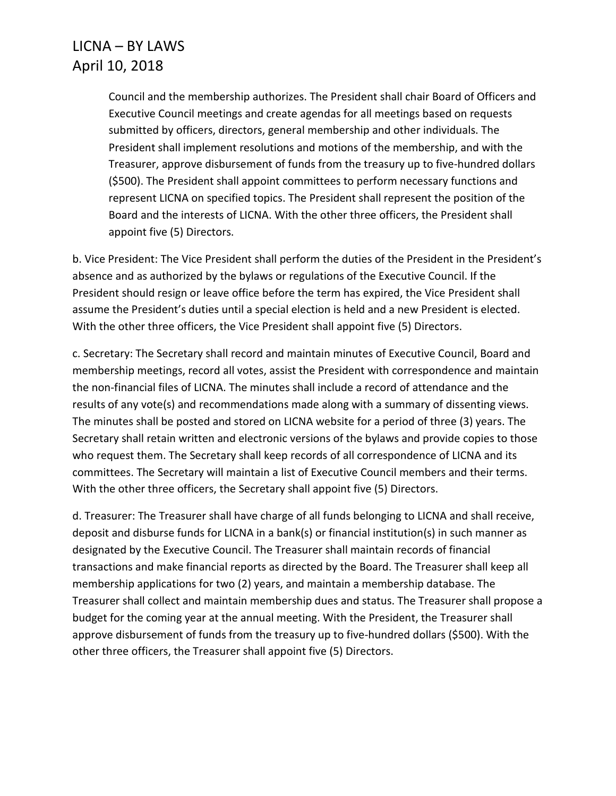Council and the membership authorizes. The President shall chair Board of Officers and Executive Council meetings and create agendas for all meetings based on requests submitted by officers, directors, general membership and other individuals. The President shall implement resolutions and motions of the membership, and with the Treasurer, approve disbursement of funds from the treasury up to five-hundred dollars (\$500). The President shall appoint committees to perform necessary functions and represent LICNA on specified topics. The President shall represent the position of the Board and the interests of LICNA. With the other three officers, the President shall appoint five (5) Directors.

b. Vice President: The Vice President shall perform the duties of the President in the President's absence and as authorized by the bylaws or regulations of the Executive Council. If the President should resign or leave office before the term has expired, the Vice President shall assume the President's duties until a special election is held and a new President is elected. With the other three officers, the Vice President shall appoint five (5) Directors.

c. Secretary: The Secretary shall record and maintain minutes of Executive Council, Board and membership meetings, record all votes, assist the President with correspondence and maintain the non-financial files of LICNA. The minutes shall include a record of attendance and the results of any vote(s) and recommendations made along with a summary of dissenting views. The minutes shall be posted and stored on LICNA website for a period of three (3) years. The Secretary shall retain written and electronic versions of the bylaws and provide copies to those who request them. The Secretary shall keep records of all correspondence of LICNA and its committees. The Secretary will maintain a list of Executive Council members and their terms. With the other three officers, the Secretary shall appoint five (5) Directors.

d. Treasurer: The Treasurer shall have charge of all funds belonging to LICNA and shall receive, deposit and disburse funds for LICNA in a bank(s) or financial institution(s) in such manner as designated by the Executive Council. The Treasurer shall maintain records of financial transactions and make financial reports as directed by the Board. The Treasurer shall keep all membership applications for two (2) years, and maintain a membership database. The Treasurer shall collect and maintain membership dues and status. The Treasurer shall propose a budget for the coming year at the annual meeting. With the President, the Treasurer shall approve disbursement of funds from the treasury up to five-hundred dollars (\$500). With the other three officers, the Treasurer shall appoint five (5) Directors.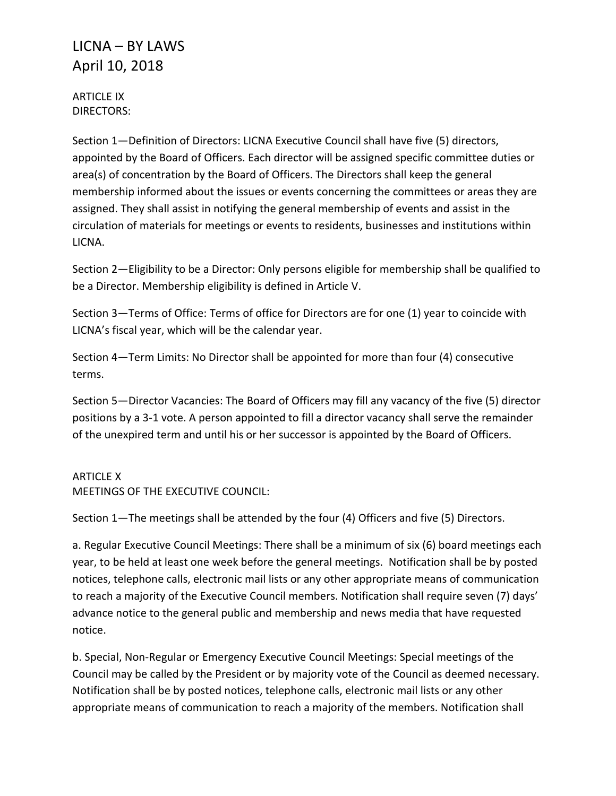ARTICLE IX DIRECTORS:

Section 1—Definition of Directors: LICNA Executive Council shall have five (5) directors, appointed by the Board of Officers. Each director will be assigned specific committee duties or area(s) of concentration by the Board of Officers. The Directors shall keep the general membership informed about the issues or events concerning the committees or areas they are assigned. They shall assist in notifying the general membership of events and assist in the circulation of materials for meetings or events to residents, businesses and institutions within LICNA.

Section 2—Eligibility to be a Director: Only persons eligible for membership shall be qualified to be a Director. Membership eligibility is defined in Article V.

Section 3—Terms of Office: Terms of office for Directors are for one (1) year to coincide with LICNA's fiscal year, which will be the calendar year.

Section 4—Term Limits: No Director shall be appointed for more than four (4) consecutive terms.

Section 5—Director Vacancies: The Board of Officers may fill any vacancy of the five (5) director positions by a 3-1 vote. A person appointed to fill a director vacancy shall serve the remainder of the unexpired term and until his or her successor is appointed by the Board of Officers.

### ARTICLE X

MEETINGS OF THE EXECUTIVE COUNCIL:

Section 1—The meetings shall be attended by the four (4) Officers and five (5) Directors.

a. Regular Executive Council Meetings: There shall be a minimum of six (6) board meetings each year, to be held at least one week before the general meetings. Notification shall be by posted notices, telephone calls, electronic mail lists or any other appropriate means of communication to reach a majority of the Executive Council members. Notification shall require seven (7) days' advance notice to the general public and membership and news media that have requested notice.

b. Special, Non-Regular or Emergency Executive Council Meetings: Special meetings of the Council may be called by the President or by majority vote of the Council as deemed necessary. Notification shall be by posted notices, telephone calls, electronic mail lists or any other appropriate means of communication to reach a majority of the members. Notification shall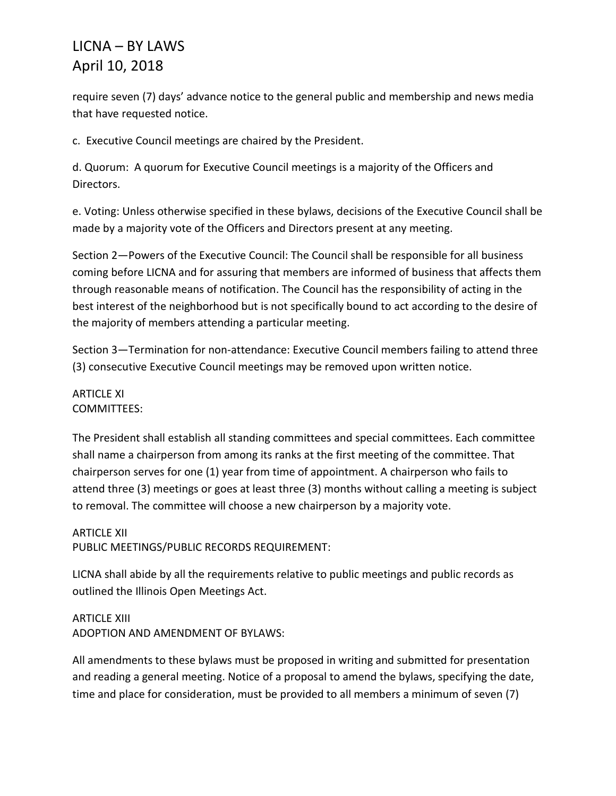require seven (7) days' advance notice to the general public and membership and news media that have requested notice.

c. Executive Council meetings are chaired by the President.

d. Quorum: A quorum for Executive Council meetings is a majority of the Officers and Directors.

e. Voting: Unless otherwise specified in these bylaws, decisions of the Executive Council shall be made by a majority vote of the Officers and Directors present at any meeting.

Section 2—Powers of the Executive Council: The Council shall be responsible for all business coming before LICNA and for assuring that members are informed of business that affects them through reasonable means of notification. The Council has the responsibility of acting in the best interest of the neighborhood but is not specifically bound to act according to the desire of the majority of members attending a particular meeting.

Section 3—Termination for non-attendance: Executive Council members failing to attend three (3) consecutive Executive Council meetings may be removed upon written notice.

### ARTICLE XI COMMITTEES:

The President shall establish all standing committees and special committees. Each committee shall name a chairperson from among its ranks at the first meeting of the committee. That chairperson serves for one (1) year from time of appointment. A chairperson who fails to attend three (3) meetings or goes at least three (3) months without calling a meeting is subject to removal. The committee will choose a new chairperson by a majority vote.

### ARTICLE XII PUBLIC MEETINGS/PUBLIC RECORDS REQUIREMENT:

LICNA shall abide by all the requirements relative to public meetings and public records as outlined the Illinois Open Meetings Act.

ARTICLE XIII ADOPTION AND AMENDMENT OF BYLAWS:

All amendments to these bylaws must be proposed in writing and submitted for presentation and reading a general meeting. Notice of a proposal to amend the bylaws, specifying the date, time and place for consideration, must be provided to all members a minimum of seven (7)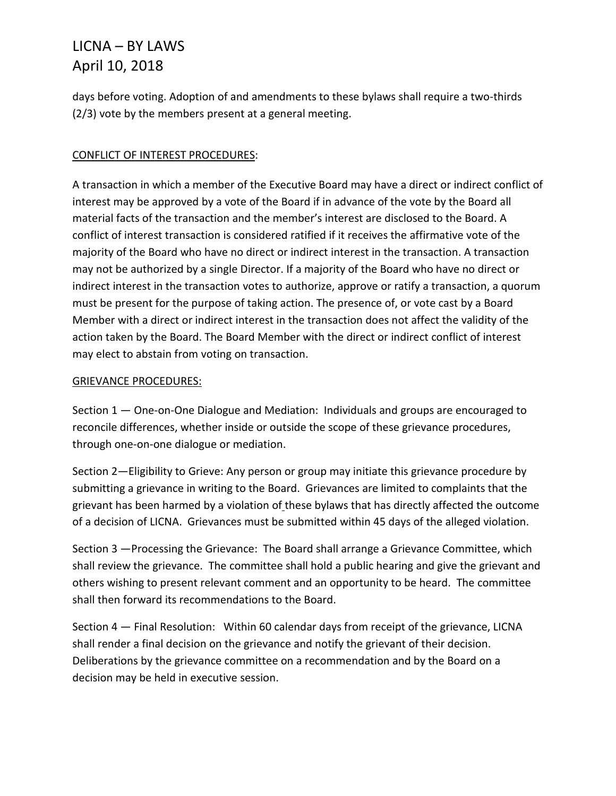days before voting. Adoption of and amendments to these bylaws shall require a two-thirds (2/3) vote by the members present at a general meeting.

### CONFLICT OF INTEREST PROCEDURES:

A transaction in which a member of the Executive Board may have a direct or indirect conflict of interest may be approved by a vote of the Board if in advance of the vote by the Board all material facts of the transaction and the member's interest are disclosed to the Board. A conflict of interest transaction is considered ratified if it receives the affirmative vote of the majority of the Board who have no direct or indirect interest in the transaction. A transaction may not be authorized by a single Director. If a majority of the Board who have no direct or indirect interest in the transaction votes to authorize, approve or ratify a transaction, a quorum must be present for the purpose of taking action. The presence of, or vote cast by a Board Member with a direct or indirect interest in the transaction does not affect the validity of the action taken by the Board. The Board Member with the direct or indirect conflict of interest may elect to abstain from voting on transaction.

### GRIEVANCE PROCEDURES:

Section 1 — One-on-One Dialogue and Mediation: Individuals and groups are encouraged to reconcile differences, whether inside or outside the scope of these grievance procedures, through one-on-one dialogue or mediation.

Section 2—Eligibility to Grieve: Any person or group may initiate this grievance procedure by submitting a grievance in writing to the Board. Grievances are limited to complaints that the grievant has been harmed by a violation of these bylaws that has directly affected the outcome of a decision of LICNA. Grievances must be submitted within 45 days of the alleged violation.

Section 3 —Processing the Grievance: The Board shall arrange a Grievance Committee, which shall review the grievance. The committee shall hold a public hearing and give the grievant and others wishing to present relevant comment and an opportunity to be heard. The committee shall then forward its recommendations to the Board.

Section 4 — Final Resolution: Within 60 calendar days from receipt of the grievance, LICNA shall render a final decision on the grievance and notify the grievant of their decision. Deliberations by the grievance committee on a recommendation and by the Board on a decision may be held in executive session.